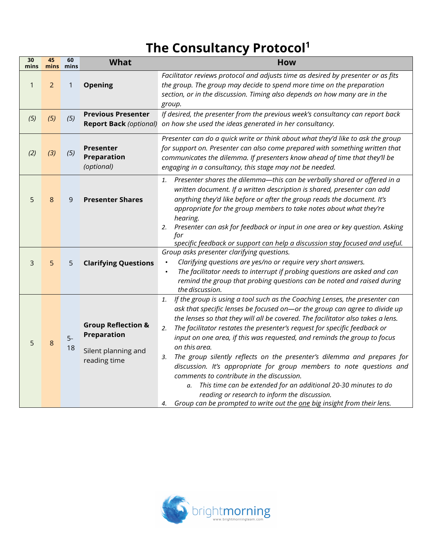## **The Consultancy Protocol<sup>1</sup>**

| $\mathbf{1}$ | $\overline{2}$<br>(5) | $\mathbf{1}$ | <b>Opening</b>                                                                             | Facilitator reviews protocol and adjusts time as desired by presenter or as fits<br>the group. The group may decide to spend more time on the preparation                                                                                                                                                                                                                                                                                                                                                                                                                                                                                                                                                                                                                                                                                           |
|--------------|-----------------------|--------------|--------------------------------------------------------------------------------------------|-----------------------------------------------------------------------------------------------------------------------------------------------------------------------------------------------------------------------------------------------------------------------------------------------------------------------------------------------------------------------------------------------------------------------------------------------------------------------------------------------------------------------------------------------------------------------------------------------------------------------------------------------------------------------------------------------------------------------------------------------------------------------------------------------------------------------------------------------------|
|              |                       |              |                                                                                            | section, or in the discussion. Timing also depends on how many are in the<br>group.                                                                                                                                                                                                                                                                                                                                                                                                                                                                                                                                                                                                                                                                                                                                                                 |
| (5)          |                       | (5)          | <b>Previous Presenter</b><br><b>Report Back (optional)</b>                                 | If desired, the presenter from the previous week's consultancy can report back<br>on how she used the ideas generated in her consultancy.                                                                                                                                                                                                                                                                                                                                                                                                                                                                                                                                                                                                                                                                                                           |
| (2)          | $(3)$                 | (5)          | <b>Presenter</b><br><b>Preparation</b><br>(optional)                                       | Presenter can do a quick write or think about what they'd like to ask the group<br>for support on. Presenter can also come prepared with something written that<br>communicates the dilemma. If presenters know ahead of time that they'll be<br>engaging in a consultancy, this stage may not be needed.                                                                                                                                                                                                                                                                                                                                                                                                                                                                                                                                           |
| 5            | 8                     | 9            | <b>Presenter Shares</b>                                                                    | Presenter shares the dilemma—this can be verbally shared or offered in a<br>1.<br>written document. If a written description is shared, presenter can add<br>anything they'd like before or after the group reads the document. It's<br>appropriate for the group members to take notes about what they're<br>hearing.<br>2. Presenter can ask for feedback or input in one area or key question. Asking<br>for<br>specific feedback or support can help a discussion stay focused and useful.                                                                                                                                                                                                                                                                                                                                                      |
| 3            | 5                     | 5            | <b>Clarifying Questions</b>                                                                | Group asks presenter clarifying questions.<br>Clarifying questions are yes/no or require very short answers.<br>$\bullet$<br>The facilitator needs to interrupt if probing questions are asked and can<br>$\bullet$<br>remind the group that probing questions can be noted and raised during<br>the discussion.                                                                                                                                                                                                                                                                                                                                                                                                                                                                                                                                    |
| 5            | 8                     | $5-$<br>18   | <b>Group Reflection &amp;</b><br><b>Preparation</b><br>Silent planning and<br>reading time | If the group is using a tool such as the Coaching Lenses, the presenter can<br>1.<br>ask that specific lenses be focused on-or the group can agree to divide up<br>the lenses so that they will all be covered. The facilitator also takes a lens.<br>The facilitator restates the presenter's request for specific feedback or<br>2.<br>input on one area, if this was requested, and reminds the group to focus<br>on this area.<br>The group silently reflects on the presenter's dilemma and prepares for<br>3.<br>discussion. It's appropriate for group members to note questions and<br>comments to contribute in the discussion.<br>This time can be extended for an additional 20-30 minutes to do<br>а.<br>reading or research to inform the discussion.<br>Group can be prompted to write out the one big insight from their lens.<br>4. |